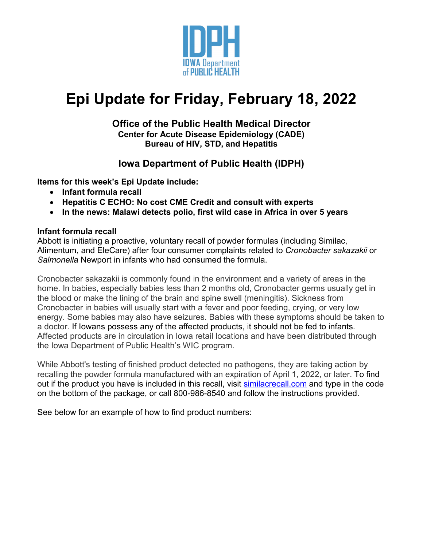

# **Epi Update for Friday, February 18, 2022**

#### **Office of the Public Health Medical Director Center for Acute Disease Epidemiology (CADE) Bureau of HIV, STD, and Hepatitis**

# **Iowa Department of Public Health (IDPH)**

**Items for this week's Epi Update include:**

- **Infant formula recall**
- **Hepatitis C ECHO: No cost CME Credit and consult with experts**
- **In the news: Malawi detects polio, first wild case in Africa in over 5 years**

#### **Infant formula recall**

Abbott is initiating a proactive, voluntary recall of powder formulas (including Similac, Alimentum, and EleCare) after four consumer complaints related to *Cronobacter sakazakii* or *Salmonella* Newport in infants who had consumed the formula.

Cronobacter sakazakii is commonly found in the environment and a variety of areas in the home. In babies, especially babies less than 2 months old, Cronobacter germs usually get in the blood or make the lining of the brain and spine swell (meningitis). Sickness from Cronobacter in babies will usually start with a fever and poor feeding, crying, or very low energy. Some babies may also have seizures. Babies with these symptoms should be taken to a doctor. If Iowans possess any of the affected products, it should not be fed to infants. Affected products are in circulation in Iowa retail locations and have been distributed through the Iowa Department of Public Health's WIC program.

While Abbott's testing of finished product detected no pathogens, they are taking action by recalling the powder formula manufactured with an expiration of April 1, 2022, or later. To find out if the product you have is included in this recall, visit [similacrecall.com](http://similacrecall.com/) and type in the code on the bottom of the package, or call 800-986-8540 and follow the instructions provided.

See below for an example of how to find product numbers: